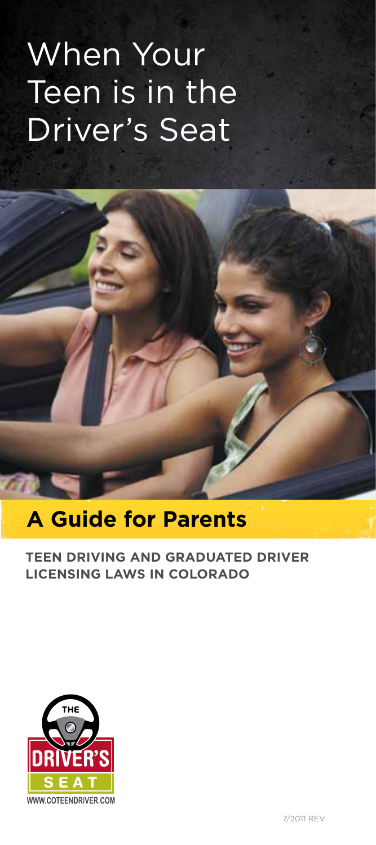# When Your Teen is in the Driver's Seat

## **A Guide for Parents**

## **TEEN DRIVING AND GRADUATED DRIVER LICENSING LAWS IN COLORADO**



 $\overline{\phantom{a}}$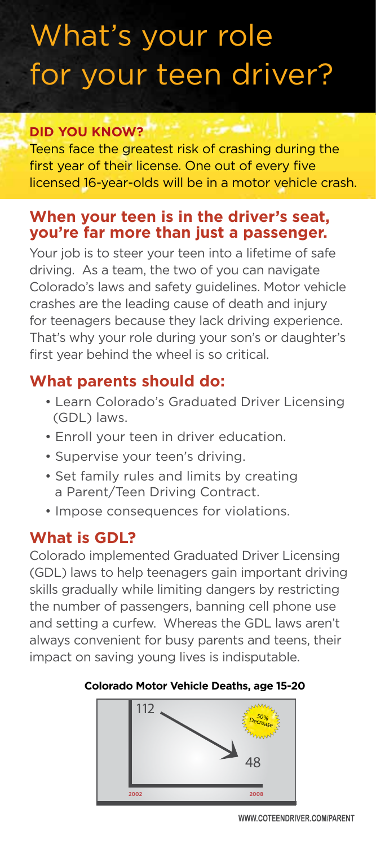## What's your role for your teen driver?

## **DID YOU KNOW?**

Teens face the greatest risk of crashing during the first year of their license. One out of every five licensed 16-year-olds will be in a motor vehicle crash.

## **When your teen is in the driver's seat, you're far more than just a passenger.**

Your job is to steer your teen into a lifetime of safe driving. As a team, the two of you can navigate Colorado's laws and safety guidelines. Motor vehicle crashes are the leading cause of death and injury for teenagers because they lack driving experience. That's why your role during your son's or daughter's first year behind the wheel is so critical.

## **What parents should do:**

- Learn Colorado's Graduated Driver Licensing (GDL) laws.
- Enroll your teen in driver education.
- Supervise your teen's driving.
- Set family rules and limits by creating a Parent/Teen Driving Contract.
- Impose consequences for violations.

## **What is GDL?**

Colorado implemented Graduated Driver Licensing (GDL) laws to help teenagers gain important driving skills gradually while limiting dangers by restricting the number of passengers, banning cell phone use and setting a curfew. Whereas the GDL laws aren't always convenient for busy parents and teens, their impact on saving young lives is indisputable.

## **Colorado Motor Vehicle Deaths, age 15-20**

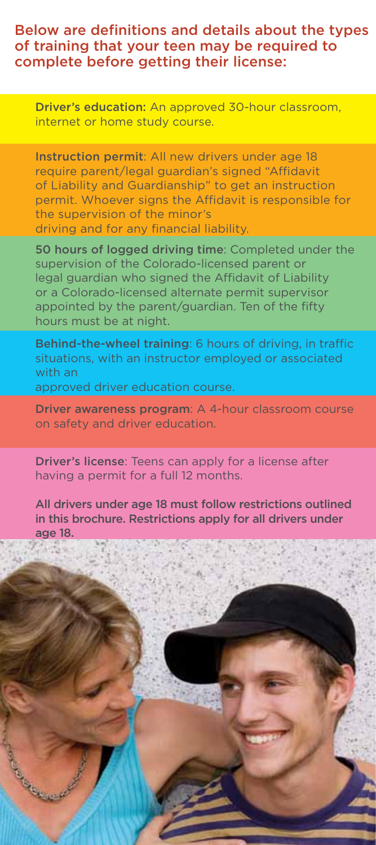### Below are definitions and details about the types of training that your teen may be required to complete before getting their license:

Driver's education: An approved 30-hour classroom, internet or home study course.

Instruction permit: All new drivers under age 18 require parent/legal guardian's signed "Affidavit of Liability and Guardianship" to get an instruction permit. Whoever signs the Affidavit is responsible for the supervision of the minor's driving and for any financial liability.

50 hours of logged driving time: Completed under the supervision of the Colorado-licensed parent or legal guardian who signed the Affidavit of Liability or a Colorado-licensed alternate permit supervisor appointed by the parent/guardian. Ten of the fifty hours must be at night.

Behind-the-wheel training: 6 hours of driving, in traffic situations, with an instructor employed or associated with an

approved driver education course.

Driver awareness program: A 4-hour classroom course on safety and driver education.

Driver's license: Teens can apply for a license after having a permit for a full 12 months.

All drivers under age 18 must follow restrictions outlined in this brochure. Restrictions apply for all drivers under age 18.

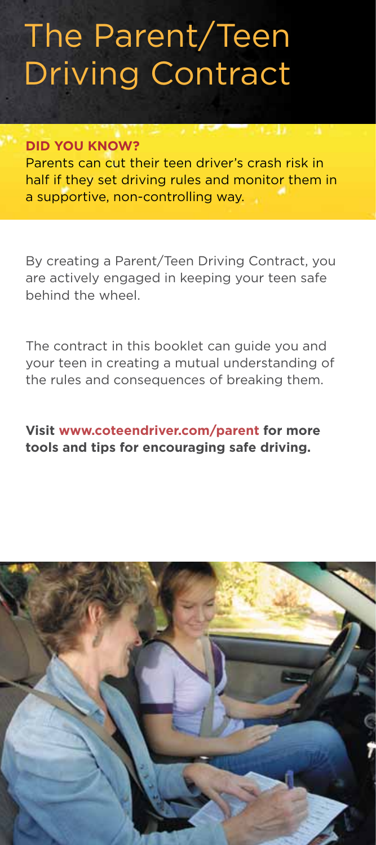## The Parent/Teen Driving Contract

#### **DID YOU KNOW?**

Parents can cut their teen driver's crash risk in half if they set driving rules and monitor them in a supportive, non-controlling way.

By creating a Parent/Teen Driving Contract, you are actively engaged in keeping your teen safe behind the wheel.

The contract in this booklet can guide you and your teen in creating a mutual understanding of the rules and consequences of breaking them.

## **Visit www.coteendriver.com/parent for more tools and tips for encouraging safe driving.**

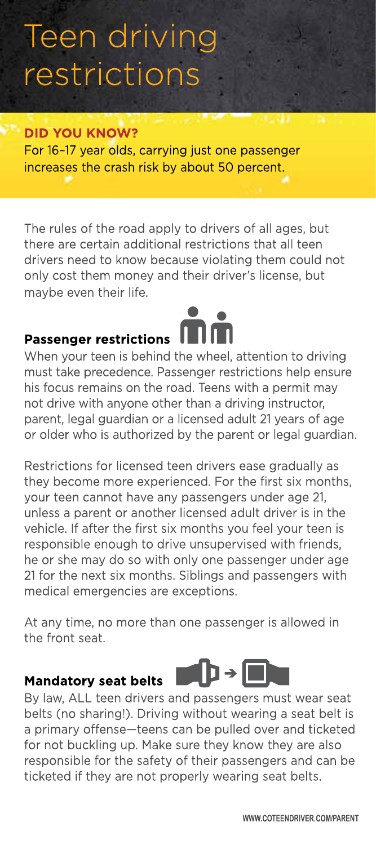## Teen driving restrictions

#### **DID YOU KNOW?**

For 16-17 year olds, carrying just one passenger increases the crash risk by about 50 percent.

The rules of the road apply to drivers of all ages, but there are certain additional restrictions that all teen drivers need to know because violating them could not only cost them money and their driver's license, but maybe even their life.

## **Passenger restrictions**

When your teen is behind the wheel, attention to driving must take precedence. Passenger restrictions help ensure his focus remains on the road. Teens with a permit may not drive with anyone other than a driving instructor, parent, legal quardian or a licensed adult 21 years of age or older who is authorized by the parent or legal guardian.

Restrictions for licensed teen drivers ease gradually as they become more experienced. For the first six months, your teen cannot have any passengers under age 21, unless a parent or another licensed adult driver is in the vehicle. If after the first six months you feel your teen is responsible enough to drive unsupervised with friends, he or she may do so with only one passenger under age 21 for the next six months. Siblings and passengers with medical emergencies are exceptions.

At any time, no more than one passenger is allowed in the front seat.

#### **Mandatory seat belts**



By law, ALL teen drivers and passengers must wear seat belts (no sharing!). Driving without wearing a seat belt is a primary offense-teens can be pulled over and ticketed for not buckling up. Make sure they know they are also responsible for the safety of their passengers and can be ticketed if they are not properly wearing seat belts.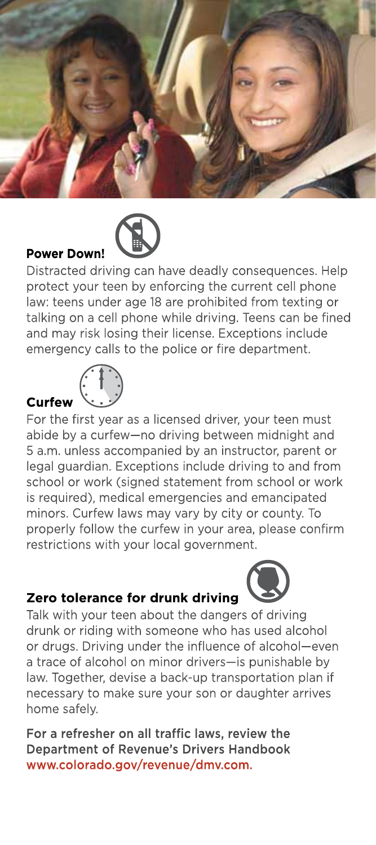

#### **Power Down!**

Distracted driving can have deadly consequences. Help protect your teen by enforcing the current cell phone law: teens under age 18 are prohibited from texting or talking on a cell phone while driving. Teens can be fined and may risk losing their license. Exceptions include emergency calls to the police or fire department.

#### **Curfew**



For the first year as a licensed driver, your teen must abide by a curfew-no driving between midnight and 5 a.m. unless accompanied by an instructor, parent or legal quardian. Exceptions include driving to and from school or work (signed statement from school or work is required), medical emergencies and emancipated minors. Curfew laws may vary by city or county. To properly follow the curfew in your area, please confirm restrictions with your local government.

## Zero tolerance for drunk driving

Talk with your teen about the dangers of driving drunk or riding with someone who has used alcohol or drugs. Driving under the influence of alcohol-even a trace of alcohol on minor drivers-is punishable by law. Together, devise a back-up transportation plan if necessary to make sure your son or daughter arrives home safely.

For a refresher on all traffic laws, review the **Department of Revenue's Drivers Handbook** www.colorado.gov/revenue/dmv.com.

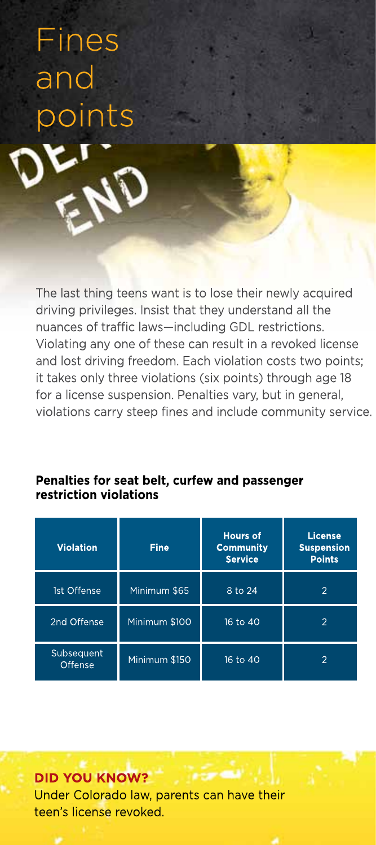Fines and points

The last thing teens want is to lose their newly acquired driving privileges. Insist that they understand all the nuances of traffic laws-including GDL restrictions. Violating any one of these can result in a revoked license and lost driving freedom. Each violation costs two points; it takes only three violations (six points) through age 18 for a license suspension. Penalties vary, but in general, violations carry steep fines and include community service.

| <b>Violation</b>      | <b>Fine</b>   | <b>Hours of</b><br><b>Community</b><br><b>Service</b> | License<br><b>Suspension</b><br><b>Points</b> |
|-----------------------|---------------|-------------------------------------------------------|-----------------------------------------------|
| 1st Offense           | Minimum \$65  | 8 to 24                                               | $\overline{2}$                                |
| 2nd Offense           | Minimum \$100 | 16 to 40                                              | 2                                             |
| Subsequent<br>Offense | Minimum \$150 | 16 to 40                                              | 2                                             |

## Penalties for seat belt, curfew and passenger restriction violations

## **DID YOU KNOW?** Under Colorado law, parents can have their teen's license revoked.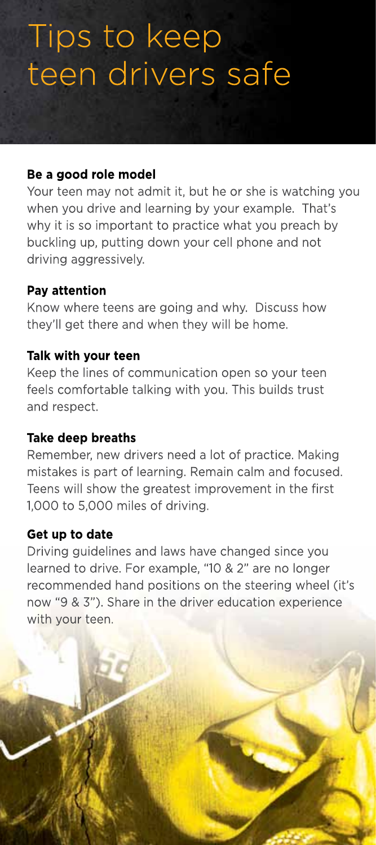## Tips to keep teen drivers safe

## Be a good role model

Your teen may not admit it, but he or she is watching you when you drive and learning by your example. That's why it is so important to practice what you preach by buckling up, putting down your cell phone and not driving aggressively.

## Pay attention

Know where teens are going and why. Discuss how they'll get there and when they will be home.

## Talk with your teen

Keep the lines of communication open so your teen feels comfortable talking with you. This builds trust and respect.

## **Take deep breaths**

Remember, new drivers need a lot of practice. Making mistakes is part of learning. Remain calm and focused. Teens will show the greatest improvement in the first 1,000 to 5,000 miles of driving.

## Get up to date

Driving guidelines and laws have changed since you learned to drive. For example, "10 & 2" are no longer recommended hand positions on the steering wheel (it's now "9 & 3"). Share in the driver education experience with your teen.